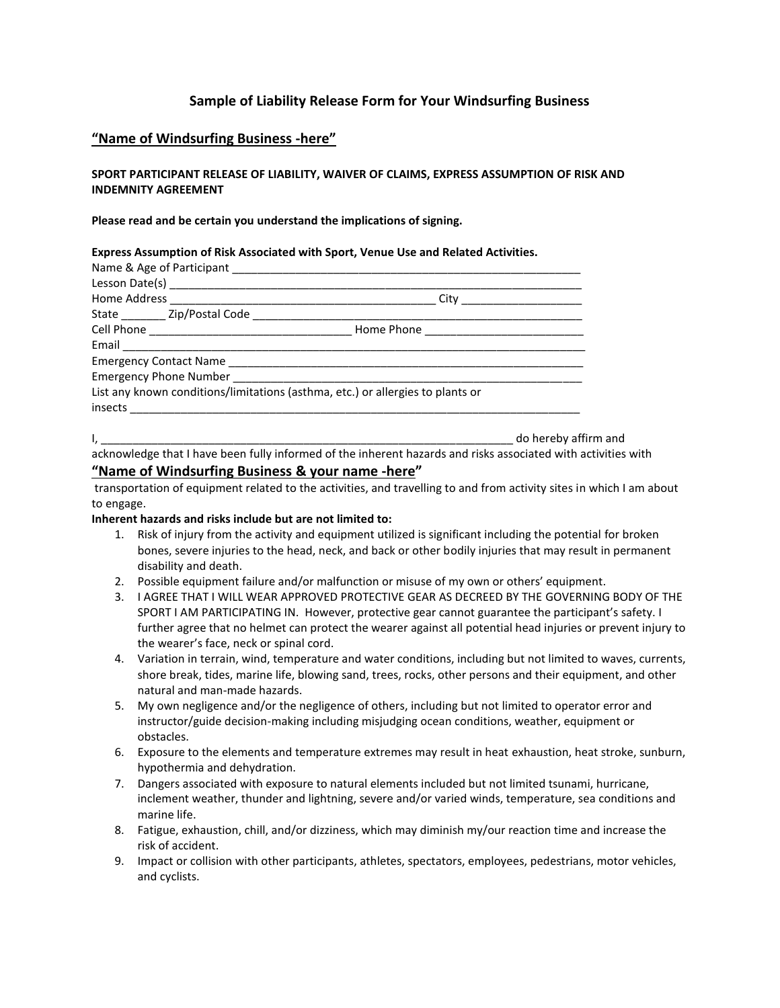# **Sample of Liability Release Form for Your Windsurfing Business**

# **"Name of Windsurfing Business -here"**

### **SPORT PARTICIPANT RELEASE OF LIABILITY, WAIVER OF CLAIMS, EXPRESS ASSUMPTION OF RISK AND INDEMNITY AGREEMENT**

### **Please read and be certain you understand the implications of signing.**

#### **Express Assumption of Risk Associated with Sport, Venue Use and Related Activities.**

| List any known conditions/limitations (asthma, etc.) or allergies to plants or |  |
|--------------------------------------------------------------------------------|--|
|                                                                                |  |
|                                                                                |  |

do hereby affirm and

acknowledge that I have been fully informed of the inherent hazards and risks associated with activities with

# **"Name of Windsurfing Business & your name -here"**

transportation of equipment related to the activities, and travelling to and from activity sites in which I am about to engage.

#### **Inherent hazards and risks include but are not limited to:**

- 1. Risk of injury from the activity and equipment utilized is significant including the potential for broken bones, severe injuries to the head, neck, and back or other bodily injuries that may result in permanent disability and death.
- 2. Possible equipment failure and/or malfunction or misuse of my own or others' equipment.
- 3. I AGREE THAT I WILL WEAR APPROVED PROTECTIVE GEAR AS DECREED BY THE GOVERNING BODY OF THE SPORT I AM PARTICIPATING IN. However, protective gear cannot guarantee the participant's safety. I further agree that no helmet can protect the wearer against all potential head injuries or prevent injury to the wearer's face, neck or spinal cord.
- 4. Variation in terrain, wind, temperature and water conditions, including but not limited to waves, currents, shore break, tides, marine life, blowing sand, trees, rocks, other persons and their equipment, and other natural and man-made hazards.
- 5. My own negligence and/or the negligence of others, including but not limited to operator error and instructor/guide decision-making including misjudging ocean conditions, weather, equipment or obstacles.
- 6. Exposure to the elements and temperature extremes may result in heat exhaustion, heat stroke, sunburn, hypothermia and dehydration.
- 7. Dangers associated with exposure to natural elements included but not limited tsunami, hurricane, inclement weather, thunder and lightning, severe and/or varied winds, temperature, sea conditions and marine life.
- 8. Fatigue, exhaustion, chill, and/or dizziness, which may diminish my/our reaction time and increase the risk of accident.
- 9. Impact or collision with other participants, athletes, spectators, employees, pedestrians, motor vehicles, and cyclists.